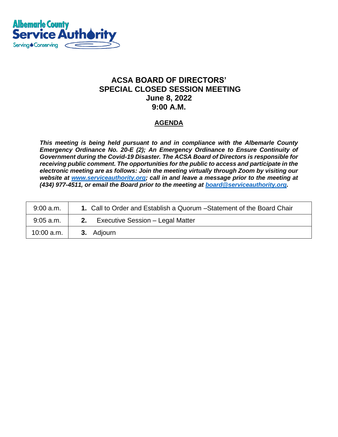

## **ACSA BOARD OF DIRECTORS' SPECIAL CLOSED SESSION MEETING June 8, 2022 9:00 A.M.**

### **AGENDA**

*This meeting is being held pursuant to and in compliance with the Albemarle County Emergency Ordinance No. 20-E (2); An Emergency Ordinance to Ensure Continuity of Government during the Covid-19 Disaster. The ACSA Board of Directors is responsible for receiving public comment. The opportunities for the public to access and participate in the electronic meeting are as follows: Join the meeting virtually through Zoom by visiting our website at [www.serviceauthority.org;](http://www.serviceauthority.org/) call in and leave a message prior to the meeting at (434) 977-4511, or email the Board prior to the meeting at [board@serviceauthority.org.](mailto:board@serviceauthority.org)*

| $9:00$ a.m.  | 1. Call to Order and Establish a Quorum - Statement of the Board Chair |
|--------------|------------------------------------------------------------------------|
| $9:05$ a.m.  | Executive Session - Legal Matter<br>2.                                 |
| $10:00$ a.m. | <b>3.</b> Adjourn                                                      |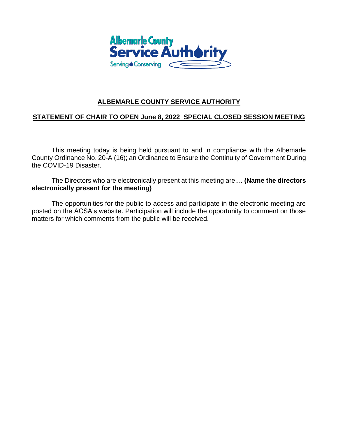

### **ALBEMARLE COUNTY SERVICE AUTHORITY**

#### **STATEMENT OF CHAIR TO OPEN June 8, 2022 SPECIAL CLOSED SESSION MEETING**

This meeting today is being held pursuant to and in compliance with the Albemarle County Ordinance No. 20-A (16); an Ordinance to Ensure the Continuity of Government During the COVID-19 Disaster.

The Directors who are electronically present at this meeting are.... **(Name the directors electronically present for the meeting)**

The opportunities for the public to access and participate in the electronic meeting are posted on the ACSA's website. Participation will include the opportunity to comment on those matters for which comments from the public will be received.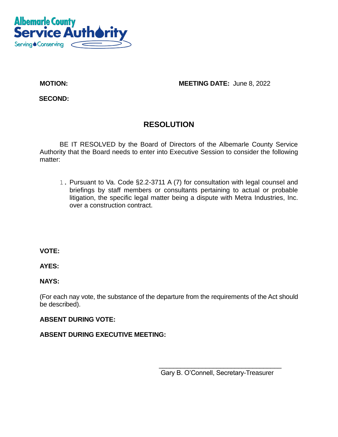

**MOTION: MOTION: MEETING DATE:** June 8, 2022

**SECOND:** 

# **RESOLUTION**

BE IT RESOLVED by the Board of Directors of the Albemarle County Service Authority that the Board needs to enter into Executive Session to consider the following matter:

1. Pursuant to Va. Code §2.2-3711 A (7) for consultation with legal counsel and briefings by staff members or consultants pertaining to actual or probable litigation, the specific legal matter being a dispute with Metra Industries, Inc. over a construction contract.

**VOTE:** 

**AYES:** 

**NAYS:**

(For each nay vote, the substance of the departure from the requirements of the Act should be described).

**ABSENT DURING VOTE:**

### **ABSENT DURING EXECUTIVE MEETING:**